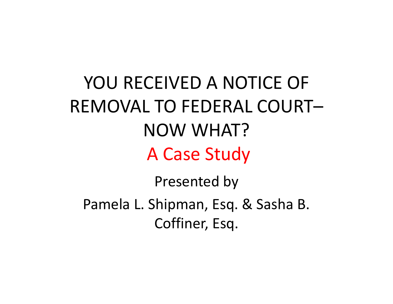# YOU RECEIVED A NOTICE OF REMOVAL TO FEDERAL COURT–NOW WHAT?A Case Study

Presented by Pamela L. Shipman, Esq. & Sasha B. Coffiner, Esq.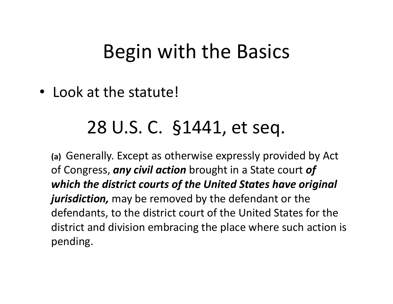#### Begin with the Basics

• Look at the statute!

#### 28 U.S. C. §1441, et seq.

**(a)** Generally. Except as otherwise expressly provided by Act of Congress, *any civil action* brought in a State court *of which the district courts of the United States have original jurisdiction,* may be removed by the defendant or the defendants, to the district court of the United States for the district and division embracing the place where such action is pending.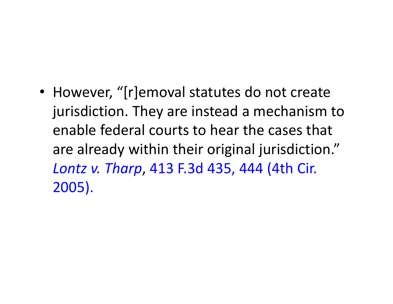• However, "[r]emoval statutes do not create jurisdiction. They are instead a mechanism to enable federal courts to hear the cases that are already within their original jurisdiction." *Lontz v. Tharp*, 413 F.3d 435, 444 (4th Cir. 2005).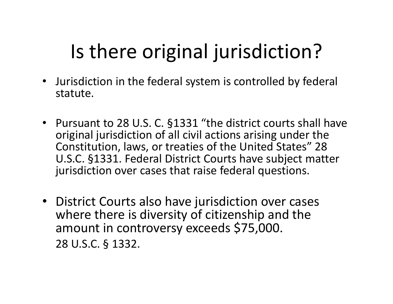# Is there original jurisdiction?

- • Jurisdiction in the federal system is controlled by federal statute.
- Pursuant to 28 U.S. C. §1331 "the district courts shall have original jurisdiction of all civil actions arising under the Constitution, laws, or treaties of the United States" 28 U.S.C. §1331. Federal District Courts have subject matter jurisdiction over cases that raise federal questions.
- District Courts also have jurisdiction over cases where there is diversity of citizenship and the amount in controversy exceeds \$75,000. 28 U.S.C. § 1332.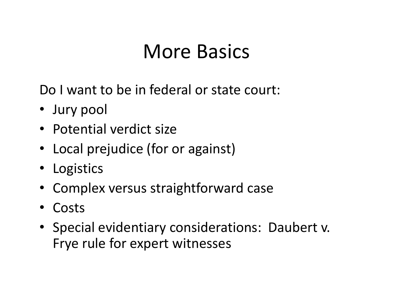#### More Basics

Do I want to be in federal or state court:

- Jury pool
- Potential verdict size
- Local prejudice (for or against)
- Logistics
- Complex versus straightforward case
- $\bullet$ Costs
- Special evidentiary considerations: Daubert v. Frye rule for expert witnesses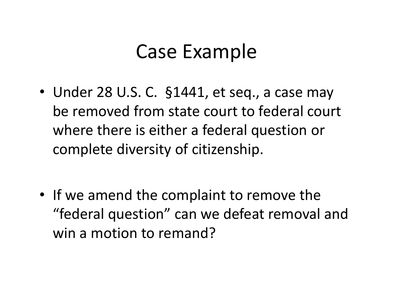#### Case Example

- Under 28 U.S. C. §1441, et seq., a case may be removed from state court to federal court where there is either a federal question or complete diversity of citizenship.
- If we amend the complaint to remove the "federal question" can we defeat removal and win a motion to remand?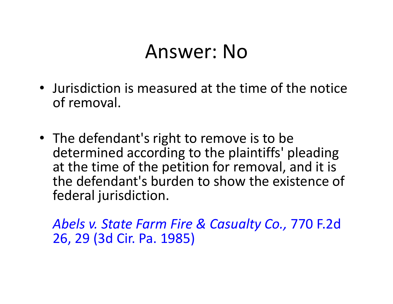#### Answer: No

- Jurisdiction is measured at the time of the notice of removal.
- The defendant's right to remove is to be determined according to the plaintiffs' pleading at the time of the petition for removal, and it is the defendant's burden to show the existence of federal jurisdiction.

*Abels v. State Farm Fire & Casualty Co.,* 770 F.2d 26, 29 (3d Cir. Pa. 1985)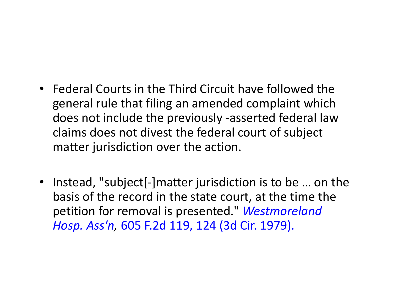- Federal Courts in the Third Circuit have followed the general rule that filing an amended complaint which does not include the previously ‐asserted federal law claims does not divest the federal court of subject matter jurisdiction over the action.
- Instead, "subject[-]matter jurisdiction is to be ... on the basis of the record in the state court, at the time the petition for removal is presented." *Westmoreland Hosp. Ass'n,* 605 F.2d 119, 124 (3d Cir. 1979).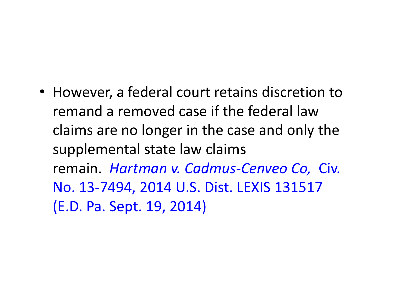• However, a federal court retains discretion to remand a removed case if the federal law claims are no longer in the case and only the supplemental state law claims remain. *Hartman v. Cadmus‐Cenveo Co,* Civ. No. 13‐7494, 2014 U.S. Dist. LEXIS 131517 (E.D. Pa. Sept. 19, 2014)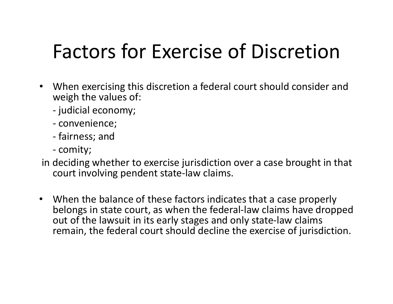# Factors for Exercise of Discretion

- When exercising this discretion a federal court should consider and weigh the values of:
	- ‐judicial economy;
	- ‐ convenience;
	- ‐ fairness; and
	- ‐comity;
- in deciding whether to exercise jurisdiction over a case brought in that court involving pendent state‐law claims.
- When the balance of these factors indicates that a case properly belongs in state court, as when the federal‐law claims have dropped out of the lawsuit in its early stages and only state‐law claims remain, the federal court should decline the exercise of jurisdiction.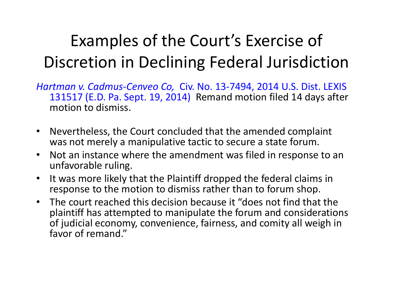#### Examples of the Court's Exercise of Discretion in Declining Federal Jurisdiction

- *Hartman v. Cadmus‐Cenveo Co,* Civ. No. 13‐7494, 2014 U.S. Dist. LEXIS 131517 (E.D. Pa. Sept. 19, 2014) Remand motion filed 14 days after motion to dismiss.
- • Nevertheless, the Court concluded that the amended complaint was not merely a manipulative tactic to secure a state forum.
- • Not an instance where the amendment was filed in response to an unfavorable ruling.
- $\bullet$  It was more likely that the Plaintiff dropped the federal claims in response to the motion to dismiss rather than to forum shop.
- The court reached this decision because it "does not find that the plaintiff has attempted to manipulate the forum and considerations of judicial economy, convenience, fairness, and comity all weigh in favor of remand."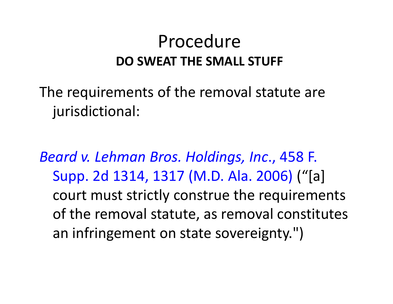#### Procedure**DO SWEAT THE SMALL STUFF**

The requirements of the removal statute are jurisdictional:

*Beard v. Lehman Bros. Holdings, Inc*., 458 F. Supp. 2d 1314, 1317 (M.D. Ala. 2006) ("[a] court must strictly construe the requirements of the removal statute, as removal constitutes an infringement on state sovereignty.")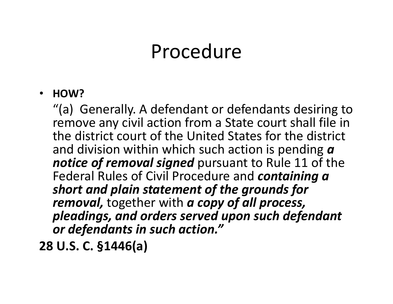#### Procedure

#### $\bullet$ **HOW?**

"(a) Generally. A defendant or defendants desiring to remove any civil action from a State court shall file in the district court of the United States for the district and division within which such action is pending *<sup>a</sup> notice of removal signed* pursuant to Rule 11 of the Federal Rules of Civil Procedure and *containing a short and plain statement of the grounds for removal,* together with *a copy of all process, pleadings, and orders served upon such defendant or defendants in such action."*

**28 U.S. C. §1446(a)**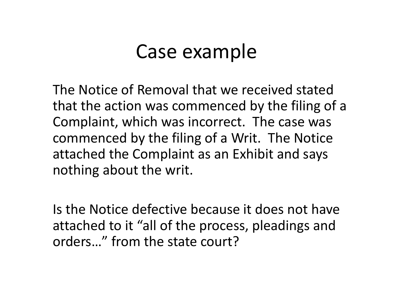#### Case example

The Notice of Removal that we received stated that the action was commenced by the filing of a Complaint, which was incorrect. The case was commenced by the filing of a Writ. The Notice attached the Complaint as an Exhibit and says nothing about the writ.

Is the Notice defective because it does not have attached to it "all of the process, pleadings and orders…" from the state court?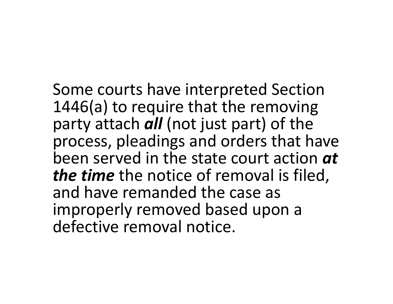Some courts have interpreted Section 1446(a) to require that the removing party attach *all* (not just part) of the process, pleadings and orders that have been served in the state court action *at the time* the notice of removal is filed, and have remanded the case as improperly removed based upon a defective removal notice.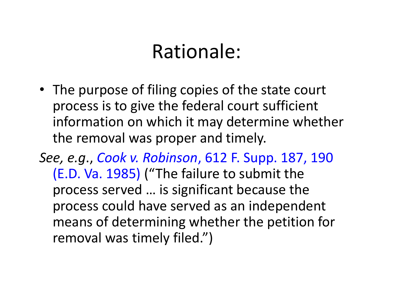#### Rationale:

• The purpose of filing copies of the state court process is to give the federal court sufficient information on which it may determine whether the removal was proper and timely.

*See, e.g*., *Cook v. Robinson*, 612 F. Supp. 187, 190 (E.D. Va. 1985) ("The failure to submit the process served … is significant because the process could have served as an independent means of determining whether the petition for removal was timely filed.")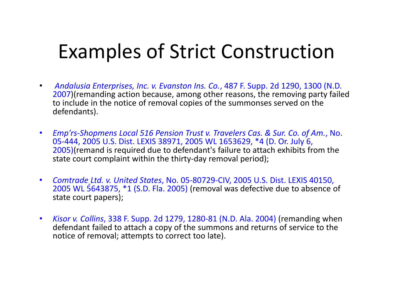#### Examples of Strict Construction

- $\bullet$  *Andalusia Enterprises, Inc. v. Evanston Ins. Co.*, 487 F. Supp. 2d 1290, 1300 (N.D. 2007)(remanding action because, among other reasons, the removing party failed to include in the notice of removal copies of the summonses served on the defendants).
- $\bullet$  *Emp'rs‐Shopmens Local 516 Pension Trust v. Travelers Cas. & Sur. Co. of Am.*, No. 05‐444, 2005 U.S. Dist. LEXIS 38971, 2005 WL 1653629, \*4 (D. Or. July 6, 2005)(remand is required due to defendant's failure to attach exhibits from the state court complaint within the thirty-day removal period);
- $\bullet$  *Comtrade Ltd. v. United States*, No. 05‐80729‐CIV, 2005 U.S. Dist. LEXIS 40150, 2005 WL 5643875, \*1 (S.D. Fla. 2005) (removal was defective due to absence of state court papers);
- $\bullet$  *Kisor v. Collins*, 338 F. Supp. 2d 1279, 1280‐81 (N.D. Ala. 2004) (remanding when defendant failed to attach a copy of the summons and returns of service to the notice of removal; attempts to correct too late).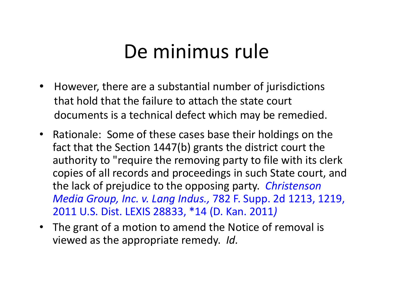# De minimus rule

- However, there are a substantial number of jurisdictions that hold that the failure to attach the state court documents is a technical defect which may be remedied.
- Rationale: Some of these cases base their holdings on the fact that the Section 1447(b) grants the district court the authority to "require the removing party to file with its clerk copies of all records and proceedings in such State court, and the lack of prejudice to the opposing party. *Christenson Media Group, Inc. v. Lang Indus.,* 782 F. Supp. 2d 1213, 1219, 2011 U.S. Dist. LEXIS 28833, \*14 (D. Kan. 2011 *)*
- The grant of a motion to amend the Notice of removal is viewed as the appropriate remedy. *Id.*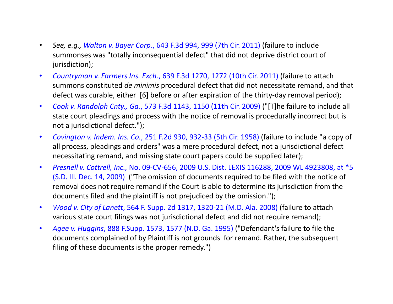- • *See, e.g., Walton v. Bayer Corp.*, 643 F.3d 994, 999 (7th Cir. 2011) (failure to include summonses was "totally inconsequential defect" that did not deprive district court of jurisdiction);
- $\bullet$  *Countryman v. Farmers Ins. Exch.*, 639 F.3d 1270, 1272 (10th Cir. 2011) (failure to attach summons constituted *de minimis* procedural defect that did not necessitate remand, and that defect was curable, either [6] before or after expiration of the thirty-day removal period);
- $\bullet$  *Cook v. Randolph Cnty., Ga.*, 573 F.3d 1143, 1150 (11th Cir. 2009) ("[T]he failure to include all state court pleadings and process with the notice of removal is procedurally incorrect but is not a jurisdictional defect.");
- $\bullet$  *Covington v. Indem. Ins. Co.*, 251 F.2d 930, 932‐33 (5th Cir. 1958) (failure to include "a copy of all process, pleadings and orders" was a mere procedural defect, not a jurisdictional defect necessitating remand, and missing state court papers could be supplied later);
- • *Presnell v. Cottrell, Inc.,* No. 09‐CV‐656, 2009 U.S. Dist. LEXIS 116288, 2009 WL 4923808, at \*5 (S.D. Ill. Dec. 14, 2009) ("The omission of documents required to be filed with the notice of removal does not require remand if the Court is able to determine its jurisdiction from the documents filed and the plaintiff is not prejudiced by the omission.");
- • *Wood v. City of Lanett*, 564 F. Supp. 2d 1317, 1320‐21 (M.D. Ala. 2008) (failure to attach various state court filings was not jurisdictional defect and did not require remand);
- • *Agee v. Huggins*, 888 F.Supp. 1573, 1577 (N.D. Ga. 1995) ("Defendant's failure to file the documents complained of by Plaintiff is not grounds for remand. Rather, the subsequent filing of these documents is the proper remedy.")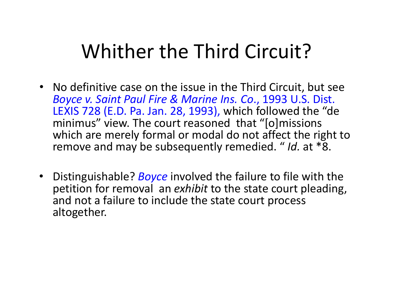#### Whither the Third Circuit?

- No definitive case on the issue in the Third Circuit, but see *Boyce v. Saint Paul Fire & Marine Ins. Co*., 1993 U.S. Dist. LEXIS 728 (E.D. Pa. Jan. 28, 1993), which followed the "de minimus" view. The court reasoned that "[o]missions which are merely formal or modal do not affect the right to remove and may be subsequently remedied. " *Id.* at \*8.
- Distinguishable? *Boyce* involved the failure to file with the petition for removal an *exhibit* to the state court pleading, and not a failure to include the state court process altogether.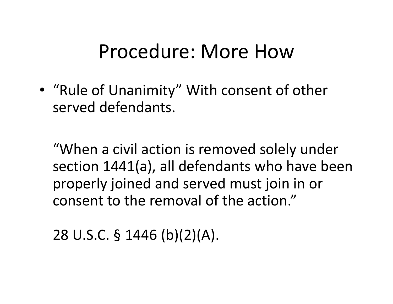#### Procedure: More How

• "Rule of Unanimity" With consent of other served defendants.

"When a civil action is removed solely under section 1441(a), all defendants who have been properly joined and served must join in or consent to the removal of the action."

28 U.S.C. § 1446 (b)(2)(A).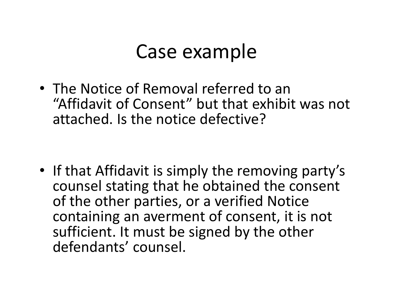#### Case example

• The Notice of Removal referred to an "Affidavit of Consent" but that exhibit was not attached. Is the notice defective?

• If that Affidavit is simply the removing party's counsel stating that he obtained the consent of the other parties, or a verified Notice containing an averment of consent, it is not sufficient. It must be signed by the other defendants' counsel.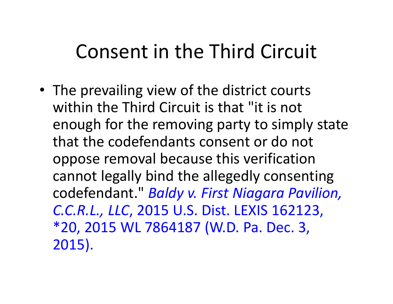# Consent in the Third Circuit

• The prevailing view of the district courts within the Third Circuit is that "it is not enough for the removing party to simply state that the codefendants consent or do not oppose removal because this verification cannot legally bind the allegedly consenting codefendant." *Baldy v. First Niagara Pavilion, C.C.R.L., LLC*, 2015 U.S. Dist. LEXIS 162123, \*20, 2015 WL 7864187 (W.D. Pa. Dec. 3, 2015).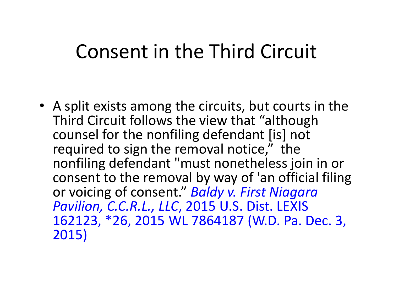#### Consent in the Third Circuit

• A split exists among the circuits, but courts in the Third Circuit follows the view that "although counsel for the nonfiling defendant [is] not required to sign the removal notice," the nonfiling defendant "must nonetheless join in or consent to the removal by way of 'an official filing or voicing of consent." *Baldy v. First Niagara Pavilion, C.C.R.L., LLC*, 2015 U.S. Dist. LEXIS 162123, \*26, 2015 WL 7864187 (W.D. Pa. Dec. 3, 2015)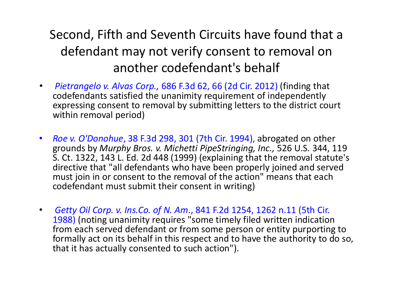#### Second, Fifth and Seventh Circuits have found that a defendant may not verify consent to removal on another codefendant's behalf

- • *Pietrangelo v. Alvas Corp.,* 686 F.3d 62, 66 (2d Cir. 2012) (finding that codefendants satisfied the unanimity requirement of independently expressing consent to removal by submitting letters to the district court within removal period)
- $\bullet$  *Roe v. O'Donohue*, 38 F.3d 298, 301 (7th Cir. 1994), abrogated on other grounds by *Murphy Bros. v. Michetti PipeStringing, Inc.,* 526 U.S. 344, 119 S. Ct. 1322, 143 L. Ed. 2d 448 (1999) (explaining that the removal statute's directive that "all defendants who have been properly joined and served must join in or consent to the removal of the action" means that each codefendant must submit their consent in writing)
- $\bullet$  *Getty Oil Corp. v. Ins.Co. of N. Am*., 841 F.2d 1254, 1262 n.11 (5th Cir. 1988) (noting unanimity requires "some timely filed written indication from each served defendant or from some person or entity purporting to formally act on its behalf in this respect and to have the authority to do so, that it has actually consented to such action").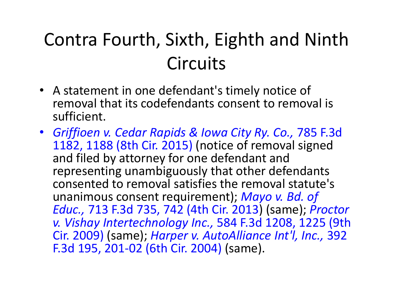# Contra Fourth, Sixth, Eighth and Ninth **Circuits**

- A statement in one defendant's timely notice of removal that its codefendants consent to removal is sufficient.
- *Griffioen v. Cedar Rapids & Iowa City Ry. Co.,* 785 F.3d 1182, 1188 (8th Cir. 2015) (notice of removal signed and filed by attorney for one defendant and representing unambiguously that other defendants consented to removal satisfies the removal statute's unanimous consent requirement); *Mayo v. Bd. of Educ.,* 713 F.3d 735, 742 (4th Cir. 2013) (same); *Proctor v. Vishay Intertechnology Inc.,* 584 F.3d 1208, 1225 (9th Cir. 2009) (same); *Harper v. AutoAlliance Int'l, Inc.,* 392 F.3d 195, 201‐02 (6th Cir. 2004) (same).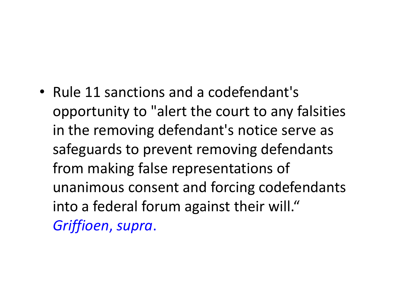• Rule 11 sanctions and a codefendant's opportunity to "alert the court to any falsities in the removing defendant's notice serve as safeguards to prevent removing defendants from making false representations of unanimous consent and forcing codefendants into a federal forum against their will." *Griffioen*, *supra*.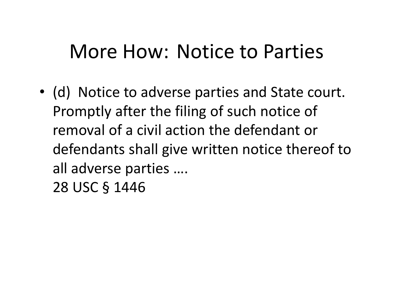#### More How: Notice to Parties

• (d) Notice to adverse parties and State court. Promptly after the filing of such notice of removal of a civil action the defendant or defendants shall give written notice thereof to all adverse parties …. 28 USC § 1446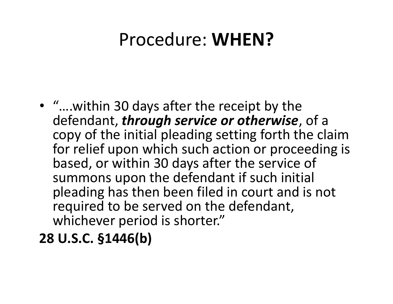#### Procedure: **WHEN?**

- "….within 30 days after the receipt by the defendant, *through service or otherwise*, of a copy of the initial pleading setting forth the claim for relief upon which such action or proceeding is based, or within 30 days after the service of summons upon the defendant if such initial pleading has then been filed in court and is not required to be served on the defendant, whichever period is shorter."
- **28 U.S.C. §1446(b)**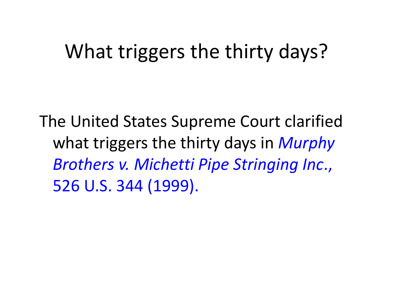#### What triggers the thirty days?

The United States Supreme Court clarified what triggers the thirty days in *Murphy Brothers v. Michetti Pipe Stringing Inc*., 526 U.S. 344 (1999).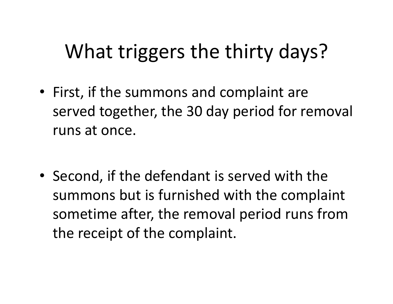# What triggers the thirty days?

- First, if the summons and complaint are served together, the 30 day period for removal runs at once.
- Second, if the defendant is served with the summons but is furnished with the complaint sometime after, the removal period runs from the receipt of the complaint.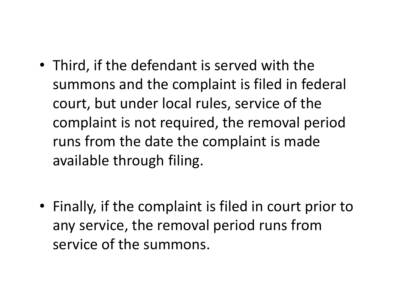- Third, if the defendant is served with the summons and the complaint is filed in federal court, but under local rules, service of the complaint is not required, the removal period runs from the date the complaint is made available through filing.
- Finally, if the complaint is filed in court prior to any service, the removal period runs from service of the summons.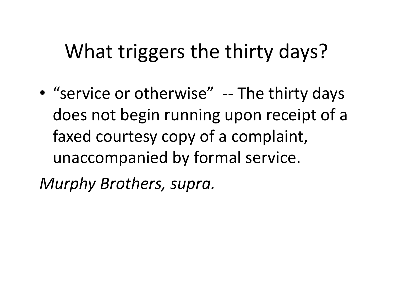# What triggers the thirty days?

• "service or otherwise" -- The thirty days does not begin running upon receipt of a faxed courtesy copy of a complaint, unaccompanied by formal service. *Murphy Brothers, supra.*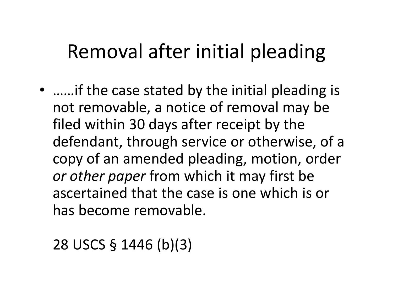# Removal after initial pleading

• ……if the case stated by the initial pleading is not removable, a notice of removal may be filed within 30 days after receipt by the defendant, through service or otherwise, of a copy of an amended pleading, motion, order *or other paper* from which it may first be ascertained that the case is one which is or has become removable.

28 USCS § 1446 (b)(3)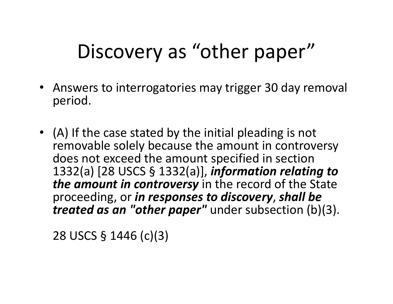# Discovery as "other paper"

- Answers to interrogatories may trigger 30 day removal period.
- (A) If the case stated by the initial pleading is not removable solely because the amount in controversy does not exceed the amount specified in section 1332(a) [28 USCS § 1332(a)], *information relating to the amount in controversy* in the record of the State proceeding, or *in responses to discovery*, *shall be treated as an "other paper"* under subsection (b)(3).

28 USCS § 1446 (c)(3)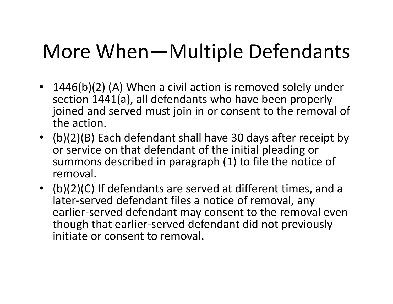# More When—Multiple Defendants

- 1446(b)(2) (A) When a civil action is removed solely under section 1441(a), all defendants who have been properly joined and served must join in or consent to the removal of the action.
- (b)(2)(B) Each defendant shall have 30 days after receipt by or service on that defendant of the initial pleading or summons described in paragraph (1) to file the notice of removal.
- (b)(2)(C) If defendants are served at different times, and a later‐served defendant files a notice of removal, any earlier-served defendant may consent to the removal even though that earlier‐served defendant did not previously initiate or consent to removal.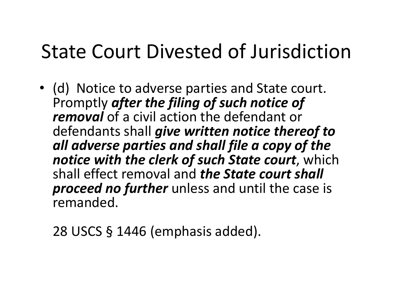#### State Court Divested of Jurisdiction

• (d) Notice to adverse parties and State court. Promptly *after the filing of such notice of removal* of a civil action the defendant or defendants shall *give written notice thereof to all adverse parties and shall file a copy of the notice with the clerk of such State court*, which shall effect removal and *the State court shall proceed no further* unless and until the case is remanded.

28 USCS § 1446 (emphasis added).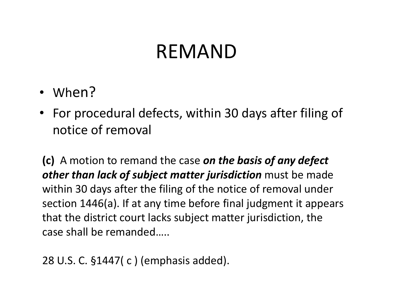#### REMAND

- When?
- For procedural defects, within 30 days after filing of notice of removal

**(c)** A motion to remand the case *on the basis of any defect other than lack of subject matter jurisdiction* must be made within 30 days after the filing of the notice of removal under section 1446(a). If at any time before final judgment it appears that the district court lacks subject matter jurisdiction, the case shall be remanded…..

```
28 U.S. C. §1447( c ) (emphasis added).
```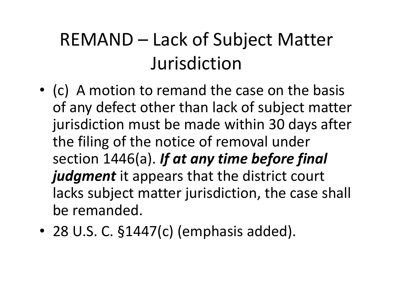### REMAND – Lack of Subject Matter Jurisdiction

- (c) A motion to remand the case on the basis of any defect other than lack of subject matter jurisdiction must be made within 30 days after the filing of the notice of removal under section 1446(a). *If at any time before final judgment* it appears that the district court lacks subject matter jurisdiction, the case shall be remanded.
- 28 U.S. C. §1447(c) (emphasis added).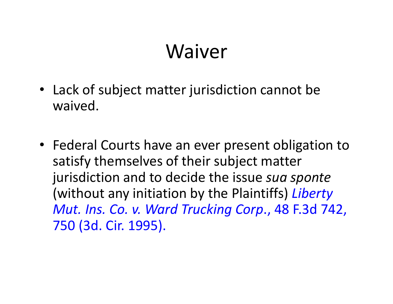# Waiver

- Lack of subject matter jurisdiction cannot be waived.
- Federal Courts have an ever present obligation to satisfy themselves of their subject matter jurisdiction and to decide the issue *sua sponte*  (without any initiation by the Plaintiffs) *Liberty Mut. Ins. Co. v. Ward Trucking Corp*., 48 F.3d 742, 750 (3d. Cir. 1995).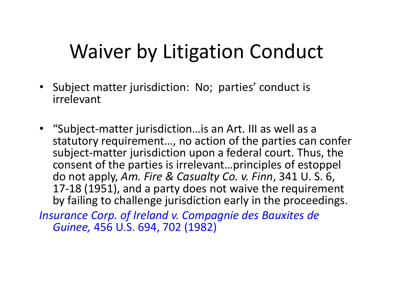# Waiver by Litigation Conduct

- Subject matter jurisdiction: No; parties' conduct is irrelevant
- "Subject‐matter jurisdiction…is an Art. III as well as a statutory requirement…, no action of the parties can confer subject‐matter jurisdiction upon a federal court. Thus, the consent of the parties is irrelevant…principles of estoppel do not apply, *Am. Fire & Casualty Co. v. Finn*, 341 U. S. 6, 17‐18 (1951), and a party does not waive the requirement by failing to challenge jurisdiction early in the proceedings.

*Insurance Corp. of Ireland v. Compagnie des Bauxites de Guinee,* 456 U.S. 694, 702 (1982)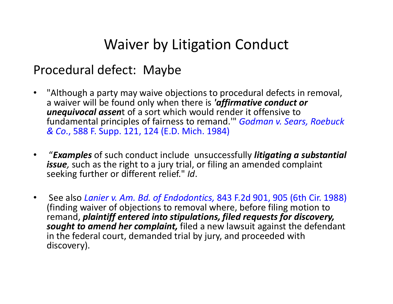#### Waiver by Litigation Conduct

#### Procedural defect: Maybe

- $\bullet$  "Although a party may waive objections to procedural defects in removal, a waiver will be found only when there is *'affirmative conduct or unequivocal assen*t of a sort which would render it offensive to fundamental principles of fairness to remand.'" *Godman v. Sears, Roebuck & Co*., 588 F. Supp. 121, 124 (E.D. Mich. 1984)
- •"*Examples* of such conduct include unsuccessfully *litigating a substantial issue,* such as the right to a jury trial, or filing an amended complaint seeking further or different relief." *Id*.
- $\bullet$  See also *Lanier v. Am. Bd. of Endodontics,* 843 F.2d 901, 905 (6th Cir. 1988) (finding waiver of objections to removal where, before filing motion to remand, *plaintiff entered into stipulations, filed requests for discovery, sought to amend her complaint,* filed a new lawsuit against the defendant in the federal court, demanded trial by jury, and proceeded with discovery).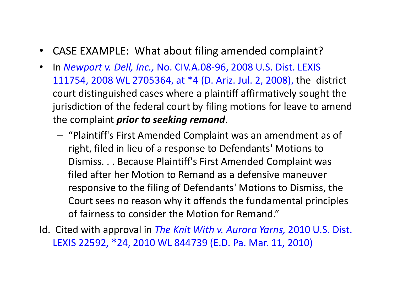- $\bullet$ CASE EXAMPLE: What about filing amended complaint?
- $\bullet$  In *Newport v. Dell, Inc.,* No. CIV.A.08‐96, 2008 U.S. Dist. LEXIS 111754, 2008 WL 2705364, at \*4 (D. Ariz. Jul. 2, 2008), the district court distinguished cases where a plaintiff affirmatively sought the jurisdiction of the federal court by filing motions for leave to amend the complaint *prior to seeking remand*.
	- – $-$  "Plaintiff's First Amended Complaint was an amendment as of right, filed in lieu of a response to Defendants' Motions to Dismiss. . . Because Plaintiff's First Amended Complaint was filed after her Motion to Remand as a defensive maneuver responsive to the filing of Defendants' Motions to Dismiss, the Court sees no reason why it offends the fundamental principles of fairness to consider the Motion for Remand."
- Id. Cited with approval in *The Knit With v. Aurora Yarns,* 2010 U.S. Dist. LEXIS 22592, \*24, 2010 WL 844739 (E.D. Pa. Mar. 11, 2010)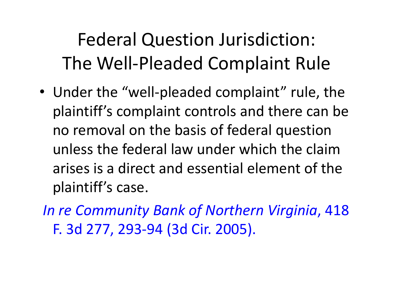# Federal Question Jurisdiction: The Well-Pleaded Complaint Rule

- Under the "well-pleaded complaint" rule, the plaintiff's complaint controls and there can be no removal on the basis of federal question unless the federal law under which the claim arises is a direct and essential element of the plaintiff's case.
- *In re Community Bank of Northern Virginia*, 418 F. 3d 277, 293‐94 (3d Cir. 2005).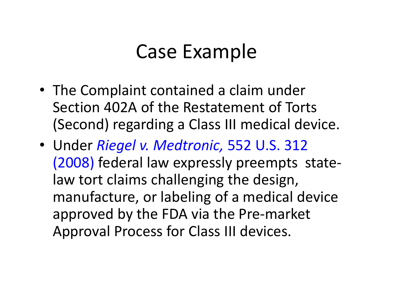#### Case Example

- The Complaint contained a claim under Section 402A of the Restatement of Torts (Second) regarding a Class III medical device.
- Under *Riegel v. Medtronic,* 552 U.S. 312 (2008) federal law expressly preempts state‐ law tort claims challenging the design, manufacture, or labeling of a medical device approved by the FDA via the Pre‐market Approval Process for Class III devices.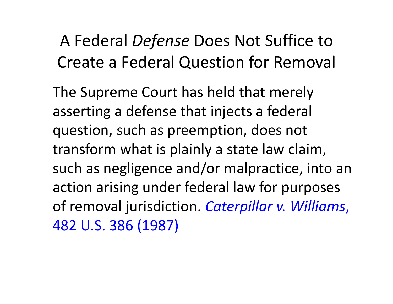#### A Federal *Defense* Does Not Suffice to Create a Federal Question for Removal

The Supreme Court has held that merely asserting a defense that injects a federal question, such as preemption, does not transform what is plainly a state law claim, such as negligence and/or malpractice, into an action arising under federal law for purposes of removal jurisdiction. *Caterpillar v. Williams*, 482 U.S. 386 (1987)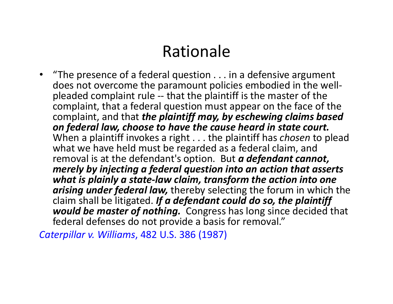#### Rationale

• "The presence of a federal question . . . in a defensive argument does not overcome the paramount policies embodied in the well‐ pleaded complaint rule ‐‐ that the plaintiff is the master of the complaint, that a federal question must appear on the face of the complaint, and that *the plaintiff may, by eschewing claims based on federal law, choose to have the cause heard in state court.* When a plaintiff invokes a right . . . the plaintiff has *chosen* to plead what we have held must be regarded as a federal claim, and removal is at the defendant's option. But *a defendant cannot, merely by injecting a federal question into an action that asserts what is plainly a state‐law claim, transform the action into one arising under federal law,* thereby selecting the forum in which the claim shall be litigated. *If a defendant could do so, the plaintiff would be master of nothing.*  Congress has long since decided that federal defenses do not provide a basis for removal."

*Caterpillar v. Williams*, 482 U.S. 386 (1987)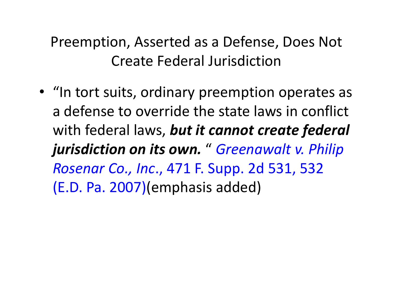Preemption, Asserted as a Defense, Does Not Create Federal Jurisdiction

• "In tort suits, ordinary preemption operates as a defense to override the state laws in conflict with federal laws, *but it cannot create federal jurisdiction on its own.* " *Greenawalt v. Philip Rosenar Co., Inc*., 471 F. Supp. 2d 531, 532 (E.D. Pa. 2007)(emphasis added)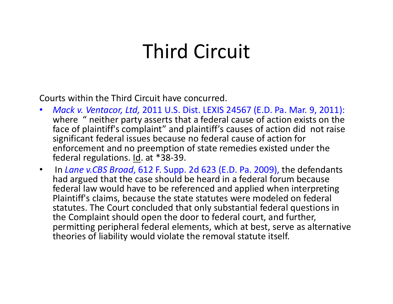### Third Circuit

Courts within the Third Circuit have concurred.

- $\bullet$  *Mack v. Ventacor, Ltd,* 2011 U.S. Dist. LEXIS 24567 (E.D. Pa. Mar. 9, 2011): where " neither party asserts that a federal cause of action exists on the face of plaintiff's complaint" and plaintiff's causes of action did not raise significant federal issues because no federal cause of action for enforcement and no preemption of state remedies existed under the federal regulations. Id. at \*38‐39.
- $\bullet$  In *Lane v.CBS Broad*, 612 F. Supp. 2d 623 (E.D. Pa. 2009), the defendants had argued that the case should be heard in a federal forum because federal law would have to be referenced and applied when interpreting Plaintiff's claims, because the state statutes were modeled on federal statutes. The Court concluded that only substantial federal questions in the Complaint should open the door to federal court, and further, permitting peripheral federal elements, which at best, serve as alternative theories of liability would violate the removal statute itself.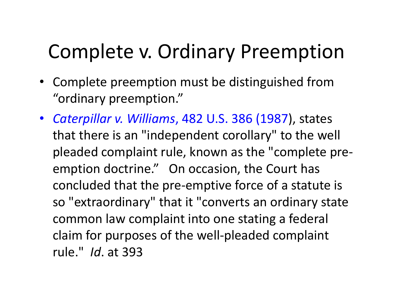# Complete v. Ordinary Preemption

- Complete preemption must be distinguished from "ordinary preemption."
- *Caterpillar v. Williams*, 482 U.S. 386 (1987), states that there is an "independent corollary" to the well pleaded complaint rule, known as the "complete pre‐ emption doctrine." On occasion, the Court has concluded that the pre‐emptive force of a statute is so "extraordinary" that it "converts an ordinary state common law complaint into one stating a federal claim for purposes of the well‐pleaded complaint rule." *Id*. at 393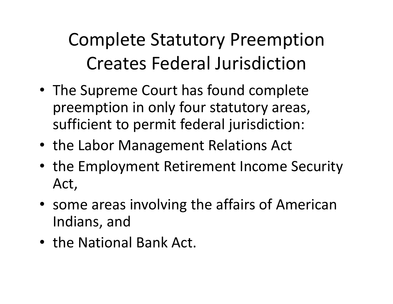Complete Statutory Preemption Creates Federal Jurisdiction

- The Supreme Court has found complete preemption in only four statutory areas, sufficient to permit federal jurisdiction:
- the Labor Management Relations Act
- the Employment Retirement Income Security Act,
- some areas involving the affairs of American Indians, and
- the National Bank Act.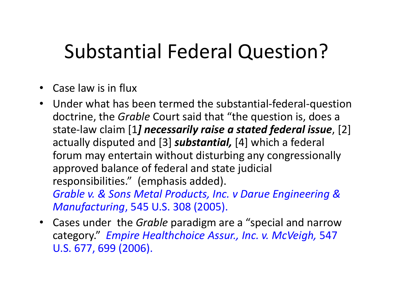# Substantial Federal Question?

- Case law is in flux
- Under what has been termed the substantial‐federal‐question doctrine, the *Grable* Court said that "the question is, does a state‐law claim [1*] necessarily raise a stated federal issue*, [2] actually disputed and [3] *substantial,* [4] which a federal forum may entertain without disturbing any congressionally approved balance of federal and state judicial responsibilities." (emphasis added). *Grable v. & Sons Metal Products, Inc. v Darue Engineering & Manufacturing*, 545 U.S. 308 (2005).
- Cases under the *Grable* paradigm are a "special and narrow category." *Empire Healthchoice Assur., Inc. v. McVeigh,* 547 U.S. 677, 699 (2006).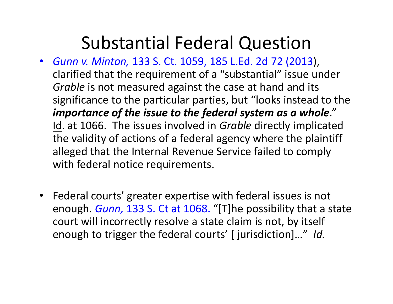#### Substantial Federal Question

- *Gunn v. Minton,* 133 S. Ct. 1059, 185 L.Ed. 2d 72 (2013), clarified that the requirement of a "substantial" issue under *Grable* is not measured against the case at hand and its significance to the particular parties, but "looks instead to the *importance of the issue to the federal system as a whole*." Id. at 1066. The issues involved in *Grable* directly implicated the validity of actions of a federal agency where the plaintiff alleged that the Internal Revenue Service failed to comply with federal notice requirements.
- Federal courts' greater expertise with federal issues is not enough. *Gunn,* 133 S. Ct at 1068. "[T]he possibility that a state court will incorrectly resolve a state claim is not, by itself enough to trigger the federal courts' [ jurisdiction]…" *Id.*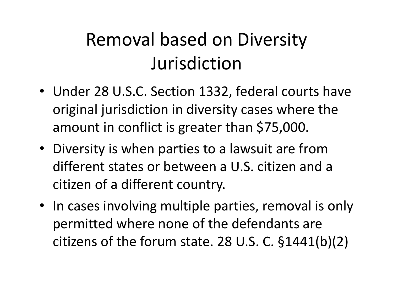#### Removal based on Diversity Jurisdiction

- Under 28 U.S.C. Section 1332, federal courts have original jurisdiction in diversity cases where the amount in conflict is greater than \$75,000.
- Diversity is when parties to a lawsuit are from different states or between a U.S. citizen and a citizen of a different country.
- In cases involving multiple parties, removal is only permitted where none of the defendants are citizens of the forum state. 28 U.S. C. §1441(b)(2)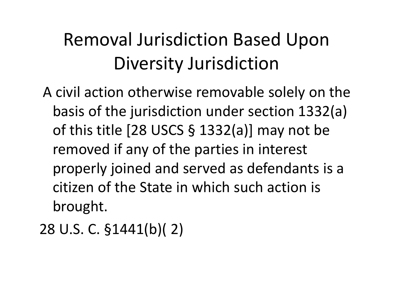# Removal Jurisdiction Based Upon Diversity Jurisdiction

A civil action otherwise removable solely on the basis of the jurisdiction under section 1332(a) of this title [28 USCS § 1332(a)] may not be removed if any of the parties in interest properly joined and served as defendants is a citizen of the State in which such action is brought.

```
28 U.S. C. §1441(b)( 2)
```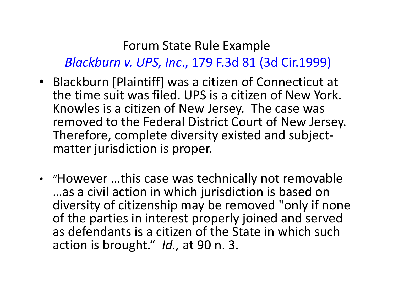#### Forum State Rule Example *Blackburn v. UPS, Inc*., 179 F.3d 81 (3d Cir.1999)

- Blackburn [Plaintiff] was a citizen of Connecticut at the time suit was filed. UPS is a citizen of New York. Knowles is a citizen of New Jersey. The case was removed to the Federal District Court of New Jersey. Therefore, complete diversity existed and subject‐ matter jurisdiction is proper.
- "However …this case was technically not removable …as a civil action in which jurisdiction is based on diversity of citizenship may be removed "only if none of the parties in interest properly joined and served as defendants is a citizen of the State in which such action is brought." *Id.,* at 90 n. 3.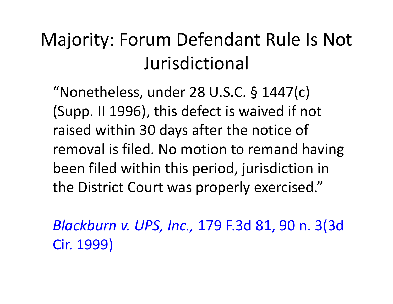#### Majority: Forum Defendant Rule Is Not Jurisdictional

"Nonetheless, under 28 U.S.C. § 1447(c) (Supp. II 1996), this defect is waived if not raised within 30 days after the notice of removal is filed. No motion to remand having been filed within this period, jurisdiction in the District Court was properly exercised."

*Blackburn v. UPS, Inc.,* 179 F.3d 81, 90 n. 3(3d Cir. 1999)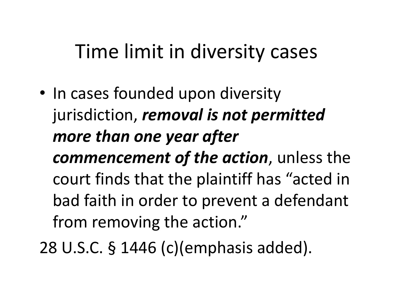# Time limit in diversity cases

- In cases founded upon diversity jurisdiction, *removal is not permitted more than one year after commencement of the action*, unless the court finds that the plaintiff has "acted in bad faith in order to prevent a defendant from removing the action."
- 28 U.S.C. § 1446 (c)(emphasis added).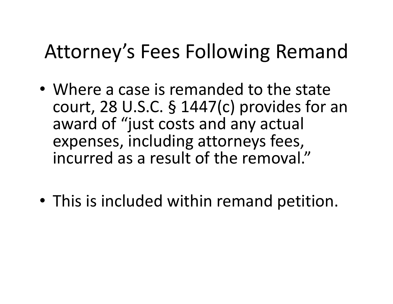# Attorney's Fees Following Remand

- Where a case is remanded to the state court, 28 U.S.C. § 1447(c) provides for an award of "just costs and any actual expenses, including attorneys fees, incurred as a result of the removal."
- This is included within remand petition.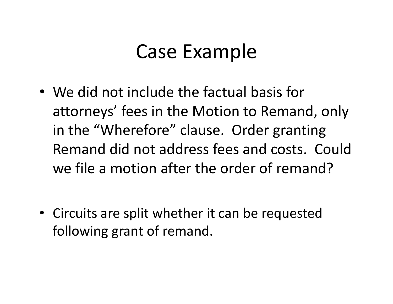#### Case Example

- We did not include the factual basis for attorneys' fees in the Motion to Remand, only in the "Wherefore" clause. Order granting Remand did not address fees and costs. Could we file a motion after the order of remand?
- Circuits are split whether it can be requested following grant of remand.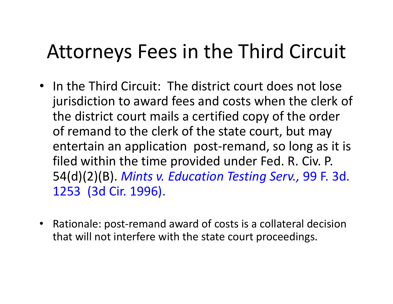# Attorneys Fees in the Third Circuit

- In the Third Circuit: The district court does not lose jurisdiction to award fees and costs when the clerk of the district court mails a certified copy of the order of remand to the clerk of the state court, but may entertain an application post‐remand, so long as it is filed within the time provided under Fed. R. Civ. P. 54(d)(2)(B). *Mints v. Education Testing Serv.,* 99 F. 3d. 1253 (3d Cir. 1996).
- $\bullet$  Rationale: post‐remand award of costs is a collateral decision that will not interfere with the state court proceedings.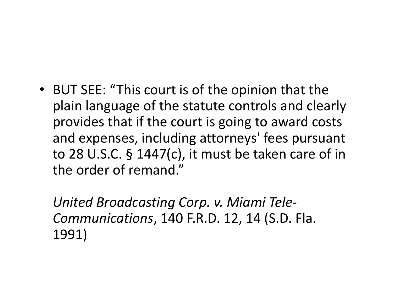• BUT SEE: "This court is of the opinion that the plain language of the statute controls and clearly provides that if the court is going to award costs and expenses, including attorneys' fees pursuant to 28 U.S.C. § 1447(c), it must be taken care of in the order of remand."

*United Broadcasting Corp. v. Miami Tele‐ Communications*, 140 F.R.D. 12, 14 (S.D. Fla. 1991)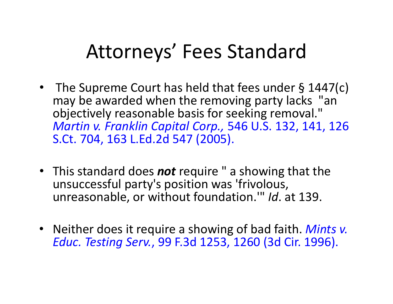# Attorneys' Fees Standard

- The Supreme Court has held that fees under § 1447(c) may be awarded when the removing party lacks "an objectively reasonable basis for seeking removal." *Martin v. Franklin Capital Corp.,* 546 U.S. 132, 141, 126 S.Ct. 704, 163 L.Ed.2d 547 (2005).
- This standard does *not* require " a showing that the unsuccessful party's position was 'frivolous, unreasonable, or without foundation.'" *Id*. at 139.
- Neither does it require a showing of bad faith. *Mints v. Educ. Testing Serv.*, 99 F.3d 1253, 1260 (3d Cir. 1996).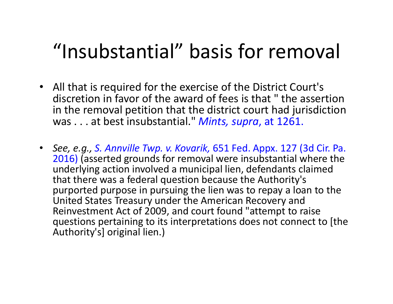# "Insubstantial" basis for removal

- All that is required for the exercise of the District Court's discretion in favor of the award of fees is that " the assertion in the removal petition that the district court had jurisdiction was . . . at best insubstantial." *Mints, supra*, at 1261.
- *See, e.g., S. Annville Twp. v. Kovarik,* 651 Fed. Appx. 127 (3d Cir. Pa. 2016) (asserted grounds for removal were insubstantial where the underlying action involved a municipal lien, defendants claimed that there was a federal question because the Authority's purported purpose in pursuing the lien was to repay a loan to the United States Treasury under the American Recovery and Reinvestment Act of 2009, and court found "attempt to raise questions pertaining to its interpretations does not connect to [the Authority's] original lien.)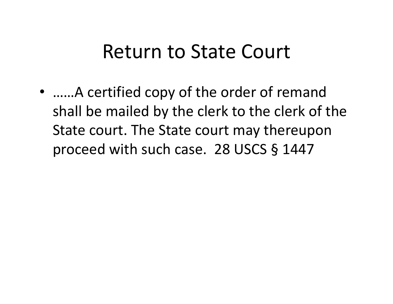#### Return to State Court

• ……A certified copy of the order of remand shall be mailed by the clerk to the clerk of the State court. The State court may thereupon proceed with such case. 28 USCS § 1447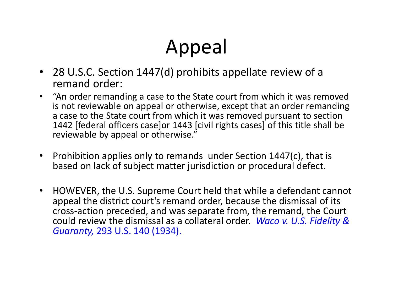# Appeal

- 28 U.S.C. Section 1447(d) prohibits appellate review of a remand order:
- $\bullet$  "An order remanding a case to the State court from which it was removed is not reviewable on appeal or otherwise, except that an order remanding a case to the State court from which it was removed pursuant to section 1442 [federal officers case]or 1443 [civil rights cases] of this title shall be reviewable by appeal or otherwise."
- $\bullet$  Prohibition applies only to remands under Section 1447(c), that is based on lack of subject matter jurisdiction or procedural defect.
- $\bullet$  HOWEVER, the U.S. Supreme Court held that while a defendant cannot appeal the district court's remand order, because the dismissal of its cross‐action preceded, and was separate from, the remand, the Court could review the dismissal as a collateral order. *Waco v. U.S. Fidelity & Guaranty,* 293 U.S. 140 (1934).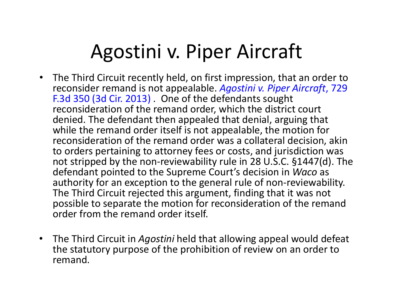### Agostini v. Piper Aircraft

- $\bullet$  The Third Circuit recently held, on first impression, that an order to reconsider remand is not appealable. *Agostini v. Piper Aircraft*, 729 F.3d 350 (3d Cir. 2013) . One of the defendants sought reconsideration of the remand order, which the district court denied. The defendant then appealed that denial, arguing that while the remand order itself is not appealable, the motion for reconsideration of the remand order was a collateral decision, akin to orders pertaining to attorney fees or costs, and jurisdiction was not stripped by the non‐reviewability rule in 28 U.S.C. §1447(d). The defendant pointed to the Supreme Court's decision in *Waco* as authority for an exception to the general rule of non‐reviewability. The Third Circuit rejected this argument, finding that it was not possible to separate the motion for reconsideration of the remand order from the remand order itself.
- The Third Circuit in *Agostini* held that allowing appeal would defeat the statutory purpose of the prohibition of review on an order to remand.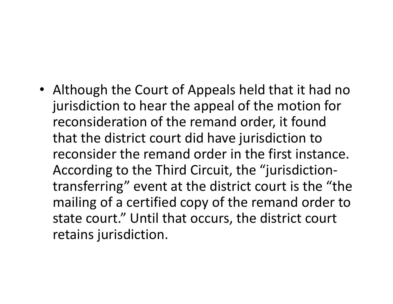• Although the Court of Appeals held that it had no jurisdiction to hear the appeal of the motion for reconsideration of the remand order, it found that the district court did have jurisdiction to reconsider the remand order in the first instance. According to the Third Circuit, the "jurisdiction‐ transferring" event at the district court is the "the mailing of a certified copy of the remand order to state court." Until that occurs, the district court retains jurisdiction.